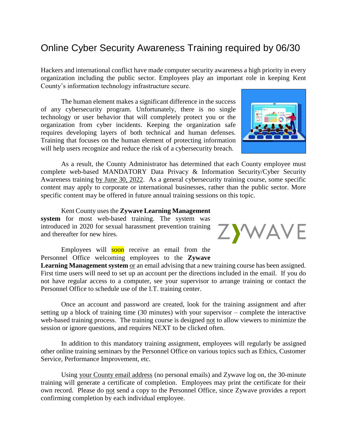## Online Cyber Security Awareness Training required by 06/30

Hackers and international conflict have made computer security awareness a high priority in every organization including the public sector. Employees play an important role in keeping Kent County's information technology infrastructure secure.

The human element makes a significant difference in the success of any cybersecurity program. Unfortunately, there is no single technology or user behavior that will completely protect you or the organization from cyber incidents. Keeping the organization safe requires developing layers of both technical and human defenses. Training that focuses on the human element of protecting information will help users recognize and reduce the risk of a cybersecurity breach.

As a result, the County Administrator has determined that each County employee must complete web-based MANDATORY Data Privacy & Information Security/Cyber Security Awareness training by June 30, 2022. As a general cybersecurity training course, some specific content may apply to corporate or international businesses, rather than the public sector. More specific content may be offered in future annual training sessions on this topic.

Kent County uses the **Zywave Learning Management system** for most web-based training. The system was introduced in 2020 for sexual harassment prevention training and thereafter for new hires.

Employees will soon receive an email from the Personnel Office welcoming employees to the **Zywave** 

**Learning Management system** or an email advising that a new training course has been assigned. First time users will need to set up an account per the directions included in the email. If you do not have regular access to a computer, see your supervisor to arrange training or contact the Personnel Office to schedule use of the I.T. training center.

Once an account and password are created, look for the training assignment and after setting up a block of training time (30 minutes) with your supervisor – complete the interactive web-based training process. The training course is designed not to allow viewers to minimize the session or ignore questions, and requires NEXT to be clicked often.

In addition to this mandatory training assignment, employees will regularly be assigned other online training seminars by the Personnel Office on various topics such as Ethics, Customer Service, Performance Improvement, etc.

Using your County email address (no personal emails) and Zywave log on, the 30-minute training will generate a certificate of completion. Employees may print the certificate for their own record. Please do not send a copy to the Personnel Office, since Zywave provides a report confirming completion by each individual employee.



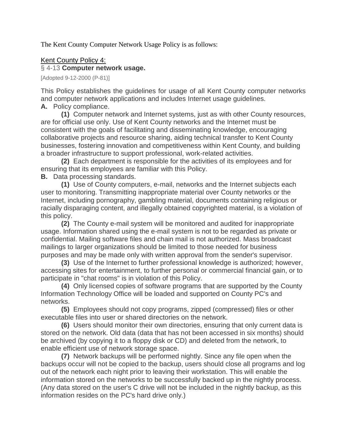The Kent County Computer Network Usage Policy is as follows:

## Kent County Policy 4:

## § 4-13 **[Computer network usage.](https://ecode360.com/30154849PM#30154849PM)**

[Adopted 9-12-2000 (P-81)]

This Policy establishes the guidelines for usage of all Kent County computer networks and computer network applications and includes Internet usage guidelines.

**[A.](https://ecode360.com/30154850PM#30154850PM)** Policy compliance.

**[\(1\)](https://ecode360.com/30154851PM#30154851PM)** Computer network and Internet systems, just as with other County resources, are for official use only. Use of Kent County networks and the Internet must be consistent with the goals of facilitating and disseminating knowledge, encouraging collaborative projects and resource sharing, aiding technical transfer to Kent County businesses, fostering innovation and competitiveness within Kent County, and building a broader infrastructure to support professional, work-related activities.

**[\(2\)](https://ecode360.com/30154852PM#30154852PM)** Each department is responsible for the activities of its employees and for ensuring that its employees are familiar with this Policy.

**[B.](https://ecode360.com/30154853PM#30154853PM)** Data processing standards.

**[\(1\)](https://ecode360.com/30154854PM#30154854PM)** Use of County computers, e-mail, networks and the Internet subjects each user to monitoring. Transmitting inappropriate material over County networks or the Internet, including pornography, gambling material, documents containing religious or racially disparaging content, and illegally obtained copyrighted material, is a violation of this policy.

**[\(2\)](https://ecode360.com/30154855PM#30154855PM)** The County e-mail system will be monitored and audited for inappropriate usage. Information shared using the e-mail system is not to be regarded as private or confidential. Mailing software files and chain mail is not authorized. Mass broadcast mailings to larger organizations should be limited to those needed for business purposes and may be made only with written approval from the sender's supervisor.

**[\(3\)](https://ecode360.com/30154856PM#30154856PM)** Use of the Internet to further professional knowledge is authorized; however, accessing sites for entertainment, to further personal or commercial financial gain, or to participate in "chat rooms" is in violation of this Policy.

**[\(4\)](https://ecode360.com/30154857PM#30154857PM)** Only licensed copies of software programs that are supported by the County Information Technology Office will be loaded and supported on County PC's and networks.

**[\(5\)](https://ecode360.com/30154858PM#30154858PM)** Employees should not copy programs, zipped (compressed) files or other executable files into user or shared directories on the network.

**[\(6\)](https://ecode360.com/30154859PM#30154859PM)** Users should monitor their own directories, ensuring that only current data is stored on the network. Old data (data that has not been accessed in six months) should be archived (by copying it to a floppy disk or CD) and deleted from the network, to enable efficient use of network storage space.

**[\(7\)](https://ecode360.com/30154860PM#30154860PM)** Network backups will be performed nightly. Since any file open when the backups occur will not be copied to the backup, users should close all programs and log out of the network each night prior to leaving their workstation. This will enable the information stored on the networks to be successfully backed up in the nightly process. (Any data stored on the user's C drive will not be included in the nightly backup, as this information resides on the PC's hard drive only.)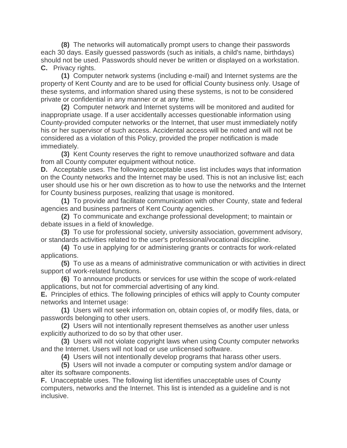**[\(8\)](https://ecode360.com/30154861PM#30154861PM)** The networks will automatically prompt users to change their passwords each 30 days. Easily guessed passwords (such as initials, a child's name, birthdays) should not be used. Passwords should never be written or displayed on a workstation. **[C.](https://ecode360.com/30154862PM#30154862PM)** Privacy rights.

**[\(1\)](https://ecode360.com/30154863PM#30154863PM)** Computer network systems (including e-mail) and Internet systems are the property of Kent County and are to be used for official County business only. Usage of these systems, and information shared using these systems, is not to be considered private or confidential in any manner or at any time.

**[\(2\)](https://ecode360.com/30154864PM#30154864PM)** Computer network and Internet systems will be monitored and audited for inappropriate usage. If a user accidentally accesses questionable information using County-provided computer networks or the Internet, that user must immediately notify his or her supervisor of such access. Accidental access will be noted and will not be considered as a violation of this Policy, provided the proper notification is made immediately.

**[\(3\)](https://ecode360.com/30154865PM#30154865PM)** Kent County reserves the right to remove unauthorized software and data from all County computer equipment without notice.

**[D.](https://ecode360.com/30154866PM#30154866PM)** Acceptable uses. The following acceptable uses list includes ways that information on the County networks and the Internet may be used. This is not an inclusive list; each user should use his or her own discretion as to how to use the networks and the Internet for County business purposes, realizing that usage is monitored.

**[\(1\)](https://ecode360.com/30154867PM#30154867PM)** To provide and facilitate communication with other County, state and federal agencies and business partners of Kent County agencies.

**[\(2\)](https://ecode360.com/30154868PM#30154868PM)** To communicate and exchange professional development; to maintain or debate issues in a field of knowledge.

**[\(3\)](https://ecode360.com/30154869PM#30154869PM)** To use for professional society, university association, government advisory, or standards activities related to the user's professional/vocational discipline.

**[\(4\)](https://ecode360.com/30154870PM#30154870PM)** To use in applying for or administering grants or contracts for work-related applications.

**[\(5\)](https://ecode360.com/30154871PM#30154871PM)** To use as a means of administrative communication or with activities in direct support of work-related functions.

**[\(6\)](https://ecode360.com/30154872PM#30154872PM)** To announce products or services for use within the scope of work-related applications, but not for commercial advertising of any kind.

**[E.](https://ecode360.com/30154873PM#30154873PM)** Principles of ethics. The following principles of ethics will apply to County computer networks and Internet usage:

**[\(1\)](https://ecode360.com/30154874PM#30154874PM)** Users will not seek information on, obtain copies of, or modify files, data, or passwords belonging to other users.

**[\(2\)](https://ecode360.com/30154875PM#30154875PM)** Users will not intentionally represent themselves as another user unless explicitly authorized to do so by that other user.

**[\(3\)](https://ecode360.com/30154876PM#30154876PM)** Users will not violate copyright laws when using County computer networks and the Internet. Users will not load or use unlicensed software.

**[\(4\)](https://ecode360.com/30154877PM#30154877PM)** Users will not intentionally develop programs that harass other users.

**[\(5\)](https://ecode360.com/30154878PM#30154878PM)** Users will not invade a computer or computing system and/or damage or alter its software components.

**[F.](https://ecode360.com/30154879PM#30154879PM)** Unacceptable uses. The following list identifies unacceptable uses of County computers, networks and the Internet. This list is intended as a guideline and is not inclusive.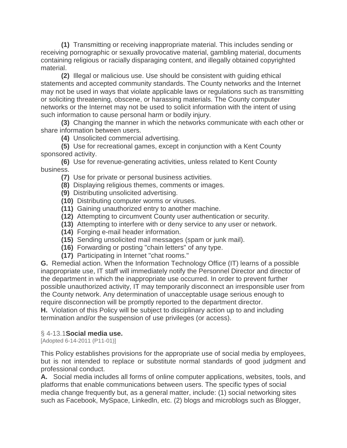**[\(1\)](https://ecode360.com/30154880PM#30154880PM)** Transmitting or receiving inappropriate material. This includes sending or receiving pornographic or sexually provocative material, gambling material, documents containing religious or racially disparaging content, and illegally obtained copyrighted material.

**[\(2\)](https://ecode360.com/30154881PM#30154881PM)** Illegal or malicious use. Use should be consistent with guiding ethical statements and accepted community standards. The County networks and the Internet may not be used in ways that violate applicable laws or regulations such as transmitting or soliciting threatening, obscene, or harassing materials. The County computer networks or the Internet may not be used to solicit information with the intent of using such information to cause personal harm or bodily injury.

**[\(3\)](https://ecode360.com/30154882PM#30154882PM)** Changing the manner in which the networks communicate with each other or share information between users.

**[\(4\)](https://ecode360.com/30154883PM#30154883PM)** Unsolicited commercial advertising.

**[\(5\)](https://ecode360.com/30154884PM#30154884PM)** Use for recreational games, except in conjunction with a Kent County sponsored activity.

**[\(6\)](https://ecode360.com/30154885PM#30154885PM)** Use for revenue-generating activities, unless related to Kent County business.

- **[\(7\)](https://ecode360.com/30154886PM#30154886PM)** Use for private or personal business activities.
- **[\(8\)](https://ecode360.com/30154887PM#30154887PM)** Displaying religious themes, comments or images.
- **[\(9\)](https://ecode360.com/30154888PM#30154888PM)** Distributing unsolicited advertising.
- **[\(10\)](https://ecode360.com/30154889PM#30154889PM)** Distributing computer worms or viruses.
- **[\(11\)](https://ecode360.com/30154890PM#30154890PM)** Gaining unauthorized entry to another machine.
- **[\(12\)](https://ecode360.com/30154891PM#30154891PM)** Attempting to circumvent County user authentication or security.
- **[\(13\)](https://ecode360.com/30154892PM#30154892PM)** Attempting to interfere with or deny service to any user or network.
- **[\(14\)](https://ecode360.com/30154893PM#30154893PM)** Forging e-mail header information.
- **[\(15\)](https://ecode360.com/30154894PM#30154894PM)** Sending unsolicited mail messages (spam or junk mail).
- **[\(16\)](https://ecode360.com/30154895PM#30154895PM)** Forwarding or posting "chain letters" of any type.
- **[\(17\)](https://ecode360.com/30154896PM#30154896PM)** Participating in Internet "chat rooms."

**[G.](https://ecode360.com/30154897PM#30154897PM)** Remedial action. When the Information Technology Office (IT) learns of a possible inappropriate use, IT staff will immediately notify the Personnel Director and director of the department in which the inappropriate use occurred. In order to prevent further possible unauthorized activity, IT may temporarily disconnect an irresponsible user from the County network. Any determination of unacceptable usage serious enough to require disconnection will be promptly reported to the department director.

**[H.](https://ecode360.com/30154898PM#30154898PM)** Violation of this Policy will be subject to disciplinary action up to and including termination and/or the suspension of use privileges (or access).

## § 4-13.1**[Social media use.](https://ecode360.com/30154849PM#30154899PM)**

[Adopted 6-14-2011 (P11-01)]

This Policy establishes provisions for the appropriate use of social media by employees, but is not intended to replace or substitute normal standards of good judgment and professional conduct.

**[A.](https://ecode360.com/30154900PM#30154900PM)** Social media includes all forms of online computer applications, websites, tools, and platforms that enable communications between users. The specific types of social media change frequently but, as a general matter, include: (1) social networking sites such as Facebook, MySpace, Linkedln, etc. (2) blogs and microblogs such as Blogger,